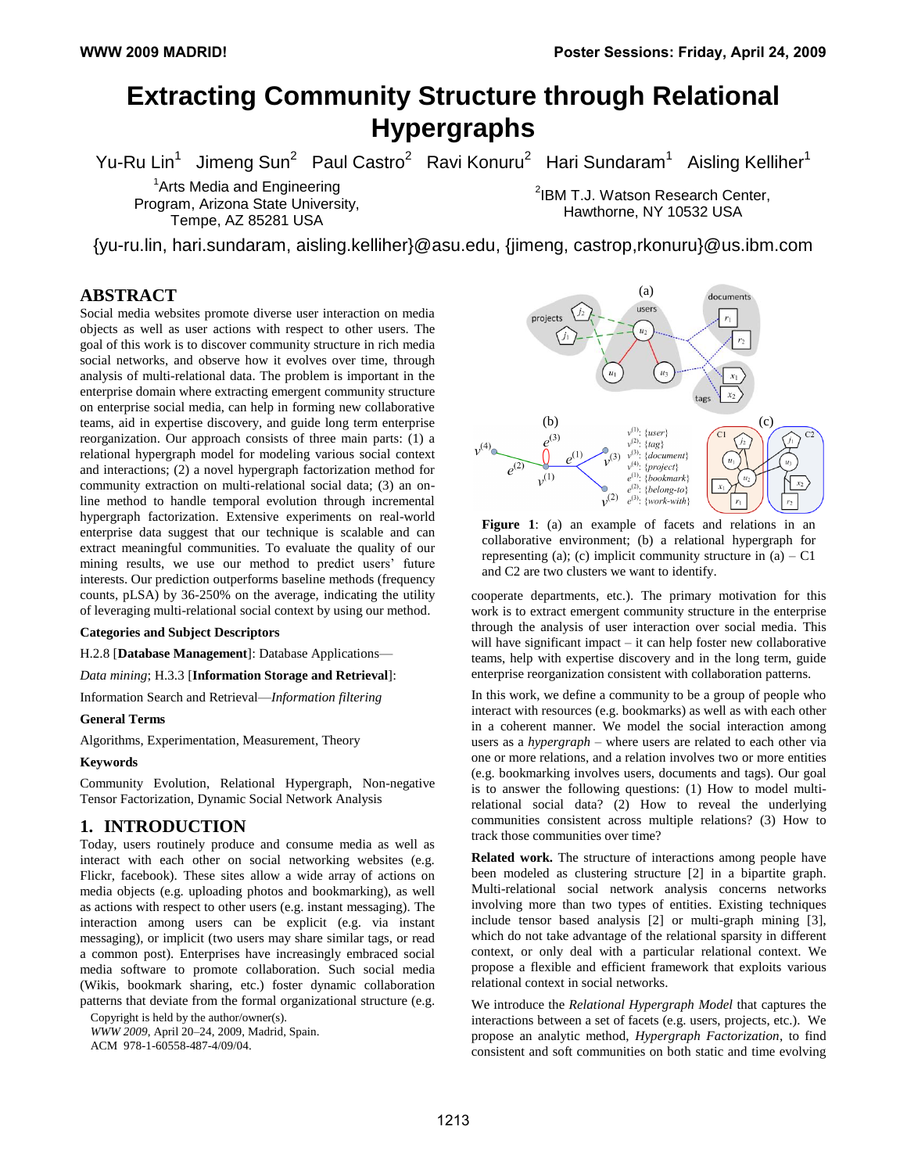# **Extracting Community Structure through Relational Hypergraphs**

Yu-Ru Lin<sup>1</sup> Jimeng Sun<sup>2</sup> Paul Castro<sup>2</sup> Ravi Konuru<sup>2</sup> Hari Sundaram<sup>1</sup> Aisling Kelliher<sup>1</sup>

<sup>1</sup> Arts Media and Engineering Program, Arizona State University, Tempe, AZ 85281 USA

<sup>2</sup>IBM T.J. Watson Research Center, Hawthorne, NY 10532 USA

{yu-ru.lin, hari.sundaram, aisling.kelliher}@asu.edu, {jimeng, castrop,rkonuru}@us.ibm.com

## **ABSTRACT**

Social media websites promote diverse user interaction on media objects as well as user actions with respect to other users. The goal of this work is to discover community structure in rich media social networks, and observe how it evolves over time, through analysis of multi-relational data. The problem is important in the enterprise domain where extracting emergent community structure on enterprise social media, can help in forming new collaborative teams, aid in expertise discovery, and guide long term enterprise reorganization. Our approach consists of three main parts: (1) a relational hypergraph model for modeling various social context and interactions; (2) a novel hypergraph factorization method for community extraction on multi-relational social data; (3) an online method to handle temporal evolution through incremental hypergraph factorization. Extensive experiments on real-world enterprise data suggest that our technique is scalable and can extract meaningful communities. To evaluate the quality of our mining results, we use our method to predict users' future interests. Our prediction outperforms baseline methods (frequency counts, pLSA) by 36-250% on the average, indicating the utility of leveraging multi-relational social context by using our method.

#### **Categories and Subject Descriptors**

H.2.8 [**Database Management**]: Database Applications—

*Data mining*; H.3.3 [**Information Storage and Retrieval**]:

Information Search and Retrieval—*Information filtering*

#### **General Terms**

Algorithms, Experimentation, Measurement, Theory

#### **Keywords**

Community Evolution, Relational Hypergraph, Non-negative Tensor Factorization, Dynamic Social Network Analysis

#### **1. INTRODUCTION**

Today, users routinely produce and consume media as well as interact with each other on social networking websites (e.g. Flickr, facebook). These sites allow a wide array of actions on media objects (e.g. uploading photos and bookmarking), as well as actions with respect to other users (e.g. instant messaging). The interaction among users can be explicit (e.g. via instant messaging), or implicit (two users may share similar tags, or read a common post). Enterprises have increasingly embraced social media software to promote collaboration. Such social media (Wikis, bookmark sharing, etc.) foster dynamic collaboration patterns that deviate from the formal organizational structure (e.g.

Copyright is held by the author/owner(s). *WWW 2009*, April 20–24, 2009, Madrid, Spain. ACM 978-1-60558-487-4/09/04.



Figure 1: (a) an example of facets and relations in an collaborative environment; (b) a relational hypergraph for representing (a); (c) implicit community structure in  $(a) - C1$ and C2 are two clusters we want to identify.

cooperate departments, etc.). The primary motivation for this work is to extract emergent community structure in the enterprise through the analysis of user interaction over social media. This will have significant impact – it can help foster new collaborative teams, help with expertise discovery and in the long term, guide enterprise reorganization consistent with collaboration patterns.

In this work, we define a community to be a group of people who interact with resources (e.g. bookmarks) as well as with each other in a coherent manner. We model the social interaction among users as a *hypergraph* – where users are related to each other via one or more relations, and a relation involves two or more entities (e.g. bookmarking involves users, documents and tags). Our goal is to answer the following questions: (1) How to model multirelational social data? (2) How to reveal the underlying communities consistent across multiple relations? (3) How to track those communities over time?

**Related work.** The structure of interactions among people have been modeled as clustering structure [2] in a bipartite graph. Multi-relational social network analysis concerns networks involving more than two types of entities. Existing techniques include tensor based analysis [2] or multi-graph mining [3], which do not take advantage of the relational sparsity in different context, or only deal with a particular relational context. We propose a flexible and efficient framework that exploits various relational context in social networks.

We introduce the *Relational Hypergraph Model* that captures the interactions between a set of facets (e.g. users, projects, etc.). We propose an analytic method, *Hypergraph Factorization*, to find consistent and soft communities on both static and time evolving